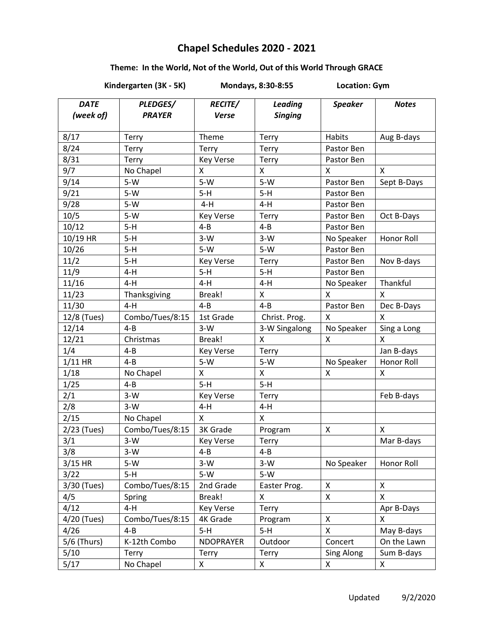## **Chapel Schedules 2020 - 2021**

## **Theme: In the World, Not of the World, Out of this World Through GRACE**

**Kindergarten (3K - 5K) Mondays, 8:30-8:55 Location: Gym**

| <b>DATE</b><br>(week of) | PLEDGES/<br><b>PRAYER</b> | <b>RECITE/</b><br><b>Verse</b> | <b>Leading</b><br><b>Singing</b> | <b>Speaker</b> | <b>Notes</b>       |
|--------------------------|---------------------------|--------------------------------|----------------------------------|----------------|--------------------|
| 8/17                     | Terry                     | Theme                          | Terry                            | <b>Habits</b>  | Aug B-days         |
| 8/24                     | Terry                     | <b>Terry</b>                   | Terry                            | Pastor Ben     |                    |
| 8/31                     | Terry                     | <b>Key Verse</b>               | Terry                            | Pastor Ben     |                    |
| 9/7                      | No Chapel                 | X                              | X                                | Χ              | X                  |
| 9/14                     | $5-W$                     | $5-W$                          | $5-W$                            | Pastor Ben     | Sept B-Days        |
| 9/21                     | $5-W$                     | $5-H$                          | $5-H$                            | Pastor Ben     |                    |
| 9/28                     | $5-W$                     | $4-H$                          | $4-H$                            | Pastor Ben     |                    |
| 10/5                     | $5-W$                     | <b>Key Verse</b>               | Terry                            | Pastor Ben     | Oct B-Days         |
| 10/12                    | $5-H$                     | $4 - B$                        | $4 - B$                          | Pastor Ben     |                    |
| 10/19 HR                 | $5-H$                     | $3-W$                          | $3-W$                            | No Speaker     | Honor Roll         |
| 10/26                    | $5-H$                     | $5-W$                          | $5-W$                            | Pastor Ben     |                    |
| 11/2                     | $5-H$                     | <b>Key Verse</b>               | Terry                            | Pastor Ben     | Nov B-days         |
| 11/9                     | $4-H$                     | $5-H$                          | $5-H$                            | Pastor Ben     |                    |
| 11/16                    | 4-H                       | 4-H                            | $4-H$                            | No Speaker     | Thankful           |
| 11/23                    | Thanksgiving              | Break!                         | X                                | X              | X                  |
| 11/30                    | $4-H$                     | $4 - B$                        | $4 - B$                          | Pastor Ben     | Dec B-Days         |
| 12/8 (Tues)              | Combo/Tues/8:15           | 1st Grade                      | Christ. Prog.                    | X              | X                  |
| 12/14                    | $4 - B$                   | $3-W$                          | 3-W Singalong                    | No Speaker     | Sing a Long        |
| 12/21                    | Christmas                 | Break!                         | X                                | X              | X                  |
| 1/4                      | $4 - B$                   | <b>Key Verse</b>               | Terry                            |                | Jan B-days         |
| $1/11$ HR                | $4 - B$                   | $5-W$                          | $5-W$                            | No Speaker     | Honor Roll         |
| 1/18                     | No Chapel                 | X                              | X                                | X              | X                  |
| 1/25                     | $4 - B$                   | $5-H$                          | $5-H$                            |                |                    |
| 2/1                      | $3-W$                     | <b>Key Verse</b>               | Terry                            |                | Feb B-days         |
| 2/8                      | $3-W$                     | $4-H$                          | $4-H$                            |                |                    |
| 2/15                     | No Chapel                 | $\pmb{\times}$                 | X                                |                |                    |
| 2/23 (Tues)              | Combo/Tues/8:15           | 3K Grade                       | Program                          | X              | X                  |
| 3/1                      | $3-W$                     | <b>Key Verse</b>               | Terry                            |                | Mar B-days         |
| 3/8                      | $3-W$                     | $4 - B$                        | $4 - B$                          |                |                    |
| $3/15$ HR                | $5-W$                     | $3-W$                          | $3-W$                            | No Speaker     | Honor Roll         |
| 3/22                     | $5-H$                     | $5-W$                          | $5-W$                            |                |                    |
| 3/30 (Tues)              | Combo/Tues/8:15           | 2nd Grade                      | Easter Prog.                     | Χ              | $\pmb{\mathsf{X}}$ |
| 4/5                      | Spring                    | Break!                         | Χ                                | X              | X                  |
| 4/12                     | $4-H$                     | <b>Key Verse</b>               | Terry                            |                | Apr B-Days         |
| 4/20 (Tues)              | Combo/Tues/8:15           | <b>4K Grade</b>                | Program                          | Χ              | X                  |
| 4/26                     | $4 - B$                   | $5-H$                          | $5-H$                            | X              | May B-days         |
| 5/6 (Thurs)              | K-12th Combo              | <b>NDOPRAYER</b>               | Outdoor                          | Concert        | On the Lawn        |
| 5/10                     | <b>Terry</b>              | Terry                          | Terry                            | Sing Along     | Sum B-days         |
| 5/17                     | No Chapel                 | X                              | X                                | X              | X                  |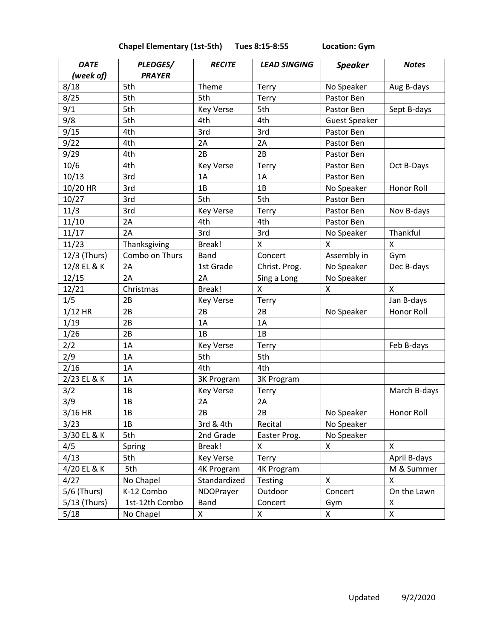| <b>Chapel Elementary (1st-5th)</b> | Tues 8:15-8:55 |
|------------------------------------|----------------|
|------------------------------------|----------------|

**Location: Gym** 

| <b>DATE</b>  | PLEDGES/       | <b>RECITE</b>     | <b>LEAD SINGING</b> | <b>Speaker</b>       | <b>Notes</b>       |
|--------------|----------------|-------------------|---------------------|----------------------|--------------------|
| (week of)    | <b>PRAYER</b>  |                   |                     |                      |                    |
| 8/18         | 5th            | Theme             | Terry               | No Speaker           | Aug B-days         |
| 8/25         | 5th            | 5th               | Terry               | Pastor Ben           |                    |
| 9/1          | 5th            | <b>Key Verse</b>  | 5th                 | Pastor Ben           | Sept B-days        |
| 9/8          | 5th            | 4th               | 4th                 | <b>Guest Speaker</b> |                    |
| 9/15         | 4th            | 3rd               | 3rd                 | Pastor Ben           |                    |
| 9/22         | 4th            | 2A                | 2A                  | Pastor Ben           |                    |
| 9/29         | 4th            | 2B                | 2B                  | Pastor Ben           |                    |
| 10/6         | 4th            | <b>Key Verse</b>  | Terry               | Pastor Ben           | Oct B-Days         |
| 10/13        | 3rd            | 1A                | 1A                  | Pastor Ben           |                    |
| 10/20 HR     | 3rd            | 1B                | 1B                  | No Speaker           | Honor Roll         |
| 10/27        | 3rd            | 5th               | 5th                 | Pastor Ben           |                    |
| 11/3         | 3rd            | <b>Key Verse</b>  | Terry               | Pastor Ben           | Nov B-days         |
| 11/10        | 2A             | 4th               | 4th                 | Pastor Ben           |                    |
| 11/17        | 2A             | 3rd               | 3rd                 | No Speaker           | Thankful           |
| 11/23        | Thanksgiving   | Break!            | X                   | X                    | $\pmb{\mathsf{X}}$ |
| 12/3 (Thurs) | Combo on Thurs | <b>Band</b>       | Concert             | Assembly in          | Gym                |
| 12/8 EL & K  | 2A             | 1st Grade         | Christ. Prog.       | No Speaker           | Dec B-days         |
| 12/15        | 2A             | 2A                | Sing a Long         | No Speaker           |                    |
| 12/21        | Christmas      | Break!            | X                   | X                    | X                  |
| 1/5          | 2B             | <b>Key Verse</b>  | Terry               |                      | Jan B-days         |
| $1/12$ HR    | 2B             | 2B                | 2B                  | No Speaker           | Honor Roll         |
| 1/19         | 2B             | 1A                | 1A                  |                      |                    |
| 1/26         | 2B             | 1B                | 1B                  |                      |                    |
| 2/2          | 1A             | <b>Key Verse</b>  | Terry               |                      | Feb B-days         |
| 2/9          | 1A             | 5th               | 5th                 |                      |                    |
| 2/16         | 1A             | 4th               | 4th                 |                      |                    |
| 2/23 EL & K  | 1A             | 3K Program        | 3K Program          |                      |                    |
| 3/2          | 1B             | <b>Key Verse</b>  | Terry               |                      | March B-days       |
| 3/9          | 1B             | 2A                | 2A                  |                      |                    |
| 3/16 HR      | 1B             | 2B                | 2B                  | No Speaker           | Honor Roll         |
| 3/23         | 1B             | 3rd & 4th         | Recital             | No Speaker           |                    |
| 3/30 EL & K  | 5th            | 2nd Grade         | Easter Prog.        | No Speaker           |                    |
| 4/5          | Spring         | Break!            | X                   | X                    | X                  |
| 4/13         | 5th            | <b>Key Verse</b>  | Terry               |                      | April B-days       |
| 4/20 EL & K  | 5th            | <b>4K Program</b> | <b>4K Program</b>   |                      | M & Summer         |
| 4/27         | No Chapel      | Standardized      | <b>Testing</b>      | X                    | X                  |
| 5/6 (Thurs)  | K-12 Combo     | NDOPrayer         | Outdoor             | Concert              | On the Lawn        |
| 5/13 (Thurs) | 1st-12th Combo | Band              | Concert             | Gym                  | Χ                  |
| 5/18         | No Chapel      | X                 | X                   | X                    | X                  |